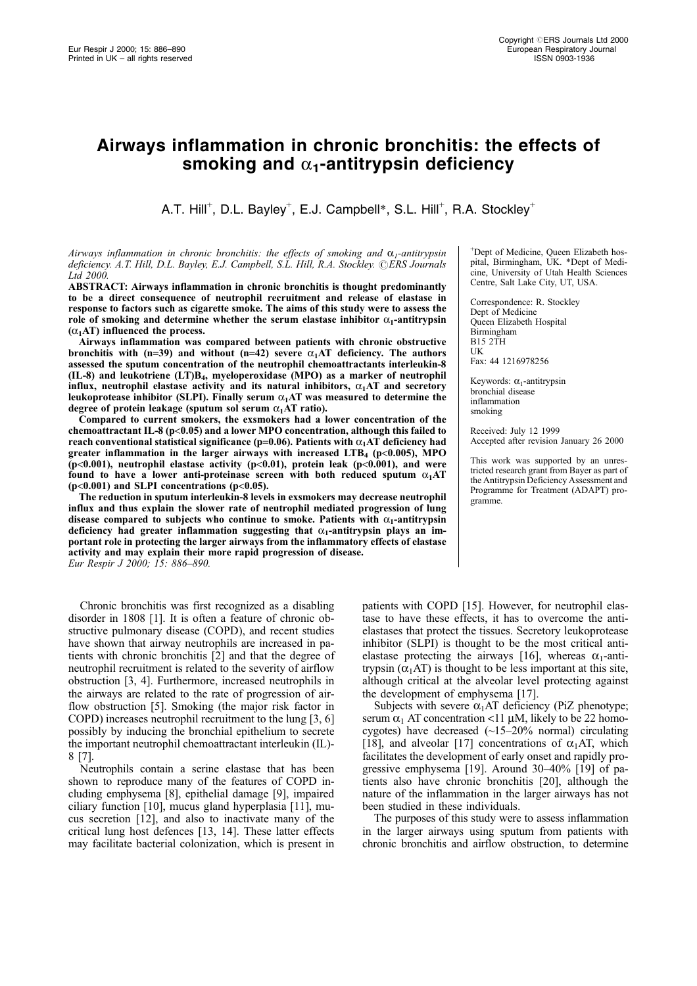# Airways inflammation in chronic bronchitis: the effects of smoking and  $\alpha_1$ -antitrypsin deficiency

A.T. Hill<sup>+</sup>, D.L. Bayley<sup>+</sup>, E.J. Campbell\*, S.L. Hill<sup>+</sup>, R.A. Stockley<sup>+</sup>

Airways inflammation in chronic bronchitis: the effects of smoking and  $\alpha_{1}$ -antitrypsin deficiency. A.T. Hill, D.L. Bayley, E.J. Campbell, S.L. Hill, R.A. Stockley. ©ERS Journals Ltd 2000.

ABSTRACT: Airways inflammation in chronic bronchitis is thought predominantly to be a direct consequence of neutrophil recruitment and release of elastase in response to factors such as cigarette smoke. The aims of this study were to assess the role of smoking and determine whether the serum elastase inhibitor  $\alpha_1$ -antitrypsin  $(\alpha_1 AT)$  influenced the process.

Airways inflammation was compared between patients with chronic obstructive bronchitis with (n=39) and without (n=42) severe  $\alpha_1$ AT deficiency. The authors assessed the sputum concentration of the neutrophil chemoattractants interleukin-8 (IL-8) and leukotriene (LT)B4, myeloperoxidase (MPO) as a marker of neutrophil influx, neutrophil elastase activity and its natural inhibitors,  $\alpha_1 A T$  and secretory leukoprotease inhibitor (SLPI). Finally serum  $\alpha_1$ AT was measured to determine the degree of protein leakage (sputum sol serum  $\alpha_1$ AT ratio).

Compared to current smokers, the exsmokers had a lower concentration of the chemoattractant IL-8 (p<0.05) and a lower MPO concentration, although this failed to reach conventional statistical significance (p=0.06). Patients with  $\alpha_1AT$  deficiency had greater inflammation in the larger airways with increased  $LTB<sub>4</sub>$  (p<0.005), MPO (p<0.001), neutrophil elastase activity (p<0.01), protein leak (p<0.001), and were found to have a lower anti-proteinase screen with both reduced sputum  $\alpha_1AT$ (p<0.001) and SLPI concentrations (p<0.05).

The reduction in sputum interleukin-8 levels in exsmokers may decrease neutrophil influx and thus explain the slower rate of neutrophil mediated progression of lung disease compared to subjects who continue to smoke. Patients with  $\alpha_1$ -antitrypsin deficiency had greater inflammation suggesting that  $\alpha_1$ -antitrypsin plays an important role in protecting the larger airways from the inflammatory effects of elastase activity and may explain their more rapid progression of disease. Eur Respir J 2000; 15: 886-890.

Chronic bronchitis was first recognized as a disabling disorder in 1808 [1]. It is often a feature of chronic obstructive pulmonary disease (COPD), and recent studies have shown that airway neutrophils are increased in patients with chronic bronchitis [2] and that the degree of neutrophil recruitment is related to the severity of airflow obstruction [3, 4]. Furthermore, increased neutrophils in the airways are related to the rate of progression of airflow obstruction [5]. Smoking (the major risk factor in COPD) increases neutrophil recruitment to the lung [3, 6] possibly by inducing the bronchial epithelium to secrete the important neutrophil chemoattractant interleukin (IL)- 8 [7].

Neutrophils contain a serine elastase that has been shown to reproduce many of the features of COPD including emphysema [8], epithelial damage [9], impaired ciliary function [10], mucus gland hyperplasia [11], mucus secretion [12], and also to inactivate many of the critical lung host defences [13, 14]. These latter effects may facilitate bacterial colonization, which is present in

+ Dept of Medicine, Queen Elizabeth hospital, Birmingham, UK. \*Dept of Medicine, University of Utah Health Sciences Centre, Salt Lake City, UT, USA.

Correspondence: R. Stockley Dept of Medicine Queen Elizabeth Hospital Birmingham B15 2TH UK Fax: 44 1216978256

Keywords:  $\alpha_1$ -antitrypsin bronchial disease inflammation smoking

Received: July 12 1999 Accepted after revision January 26 2000

This work was supported by an unrestricted research grant from Bayer as part of the Antitrypsin Deficiency Assessment and Programme for Treatment (ADAPT) programme.

patients with COPD [15]. However, for neutrophil elastase to have these effects, it has to overcome the antielastases that protect the tissues. Secretory leukoprotease inhibitor (SLPI) is thought to be the most critical antielastase protecting the airways [16], whereas  $\alpha_1$ -antitrypsin  $(\alpha_1AT)$  is thought to be less important at this site, although critical at the alveolar level protecting against the development of emphysema [17].

Subjects with severe  $\alpha_1$ AT deficiency (PiZ phenotype; serum  $\alpha_1$  AT concentration <11 µM, likely to be 22 homocygotes) have decreased  $(\sim15-20\%$  normal) circulating [18], and alveolar [17] concentrations of  $\alpha_1$ AT, which facilitates the development of early onset and rapidly progressive emphysema [19]. Around  $30-40\%$  [19] of patients also have chronic bronchitis [20], although the nature of the inflammation in the larger airways has not been studied in these individuals.

The purposes of this study were to assess inflammation in the larger airways using sputum from patients with chronic bronchitis and airflow obstruction, to determine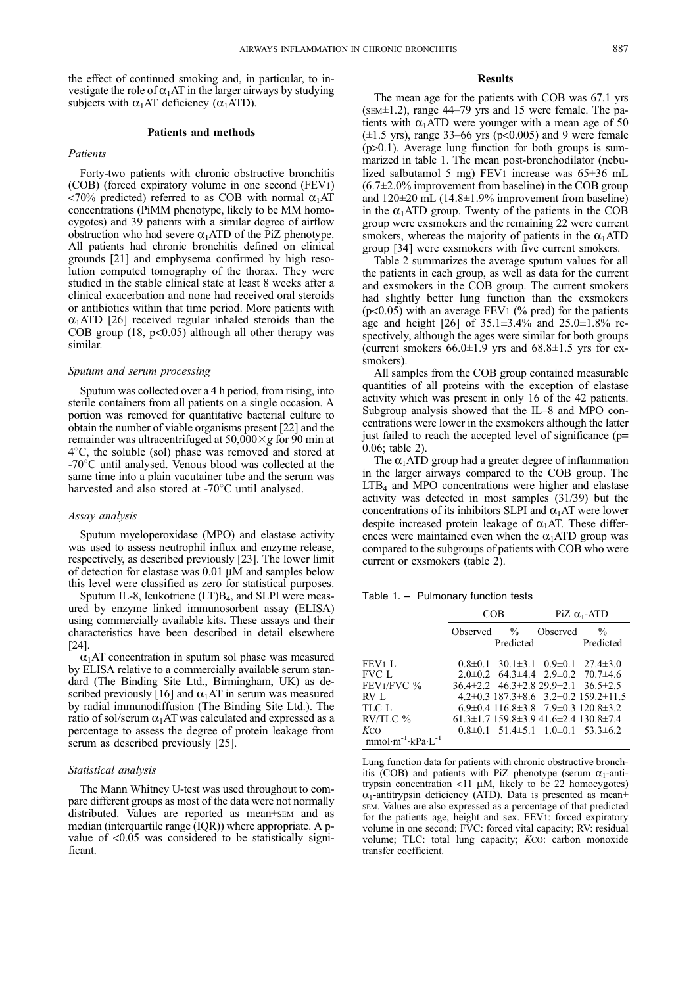the effect of continued smoking and, in particular, to investigate the role of  $\alpha_1$ AT in the larger airways by studying subjects with  $\alpha_1$ AT deficiency ( $\alpha_1$ ATD).

## Patients and methods

## Patients

Forty-two patients with chronic obstructive bronchitis (COB) (forced expiratory volume in one second (FEV1) <70% predicted) referred to as COB with normal  $\alpha_1$ AT concentrations (PiMM phenotype, likely to be MM homocygotes) and 39 patients with a similar degree of airflow obstruction who had severe  $\alpha_1$ ATD of the PiZ phenotype. All patients had chronic bronchitis defined on clinical grounds [21] and emphysema confirmed by high resolution computed tomography of the thorax. They were studied in the stable clinical state at least 8 weeks after a clinical exacerbation and none had received oral steroids or antibiotics within that time period. More patients with  $\alpha_1$ ATD [26] received regular inhaled steroids than the COB group  $(18, p<0.05)$  although all other therapy was similar.

## Sputum and serum processing

Sputum was collected over a 4 h period, from rising, into sterile containers from all patients on a single occasion. A portion was removed for quantitative bacterial culture to obtain the number of viable organisms present [22] and the remainder was ultracentrifuged at  $50,000 \times g$  for 90 min at  $4^{\circ}$ C, the soluble (sol) phase was removed and stored at  $-70^{\circ}$ C until analysed. Venous blood was collected at the same time into a plain vacutainer tube and the serum was harvested and also stored at  $-70^{\circ}$ C until analysed.

## Assay analysis

Sputum myeloperoxidase (MPO) and elastase activity was used to assess neutrophil influx and enzyme release, respectively, as described previously [23]. The lower limit of detection for elastase was  $0.01 \mu M$  and samples below this level were classified as zero for statistical purposes.

Sputum IL-8, leukotriene (LT)B<sub>4</sub>, and SLPI were measured by enzyme linked immunosorbent assay (ELISA) using commercially available kits. These assays and their characteristics have been described in detail elsewhere [24].

 $\alpha$ <sub>1</sub>AT concentration in sputum sol phase was measured by ELISA relative to a commercially available serum standard (The Binding Site Ltd., Birmingham, UK) as described previously [16] and  $\alpha_1$ AT in serum was measured by radial immunodiffusion (The Binding Site Ltd.). The ratio of sol/serum  $\alpha_1$ AT was calculated and expressed as a percentage to assess the degree of protein leakage from serum as described previously [25].

## Statistical analysis

The Mann Whitney U-test was used throughout to compare different groups as most of the data were not normally distributed. Values are reported as mean±sEM and as median (interquartile range (IQR)) where appropriate. A pvalue of <0.05 was considered to be statistically significant.

### Results

The mean age for the patients with COB was 67.1 yrs  $(sem±1.2)$ , range 44–79 yrs and 15 were female. The patients with  $\alpha_1$ ATD were younger with a mean age of 50  $(\pm 1.5 \text{ yrs})$ , range 33–66 yrs (p<0.005) and 9 were female (p>0.1). Average lung function for both groups is summarized in table 1. The mean post-bronchodilator (nebulized salbutamol 5 mg) FEV1 increase was  $65\pm36$  mL  $(6.7\pm2.0\%$  improvement from baseline) in the COB group and  $120\pm20$  mL (14.8 $\pm1.9\%$  improvement from baseline) in the  $\alpha_1$ ATD group. Twenty of the patients in the COB group were exsmokers and the remaining 22 were current smokers, whereas the majority of patients in the  $\alpha_1$ ATD group [34] were exsmokers with five current smokers.

Table 2 summarizes the average sputum values for all the patients in each group, as well as data for the current and exsmokers in the COB group. The current smokers had slightly better lung function than the exsmokers  $(p<0.05)$  with an average FEV<sub>1</sub> (% pred) for the patients age and height [26] of  $35.1\pm3.4\%$  and  $25.0\pm1.8\%$  respectively, although the ages were similar for both groups (current smokers  $66.0\pm1.9$  yrs and  $68.8\pm1.5$  yrs for exsmokers).

All samples from the COB group contained measurable quantities of all proteins with the exception of elastase activity which was present in only 16 of the 42 patients. Subgroup analysis showed that the  $IL-8$  and MPO concentrations were lower in the exsmokers although the latter just failed to reach the accepted level of significance (p= 0.06; table 2).

The  $\alpha_1$ ATD group had a greater degree of inflammation in the larger airways compared to the COB group. The  $LTB<sub>4</sub>$  and MPO concentrations were higher and elastase activity was detected in most samples (31/39) but the concentrations of its inhibitors SLPI and  $\alpha_1$ AT were lower despite increased protein leakage of  $\alpha_1$ AT. These differences were maintained even when the  $\alpha_1$ ATD group was compared to the subgroups of patients with COB who were current or exsmokers (table 2).

Table  $1. -$  Pulmonary function tests

|                                    | COB |           | PiZ $\alpha_1$ -ATD |                                                               |
|------------------------------------|-----|-----------|---------------------|---------------------------------------------------------------|
|                                    |     | Predicted | Observed % Observed | $\frac{0}{0}$<br>Predicted                                    |
| FEV1 L                             |     |           |                     | $0.8\pm0.1$ 30.1 $\pm3.1$ $0.9\pm0.1$ 27.4 $\pm3.0$           |
| FVC L                              |     |           |                     | $2.0\pm0.2$ 64.3 $\pm4.4$ 2.9 $\pm0.2$ 70.7 $\pm4.6$          |
| $FEV1/FVC$ %                       |     |           |                     | $36.4\pm2.2$ $46.3\pm2.8$ $29.9\pm2.1$ $36.5\pm2.5$           |
| RV L                               |     |           |                     | $4.2\pm0.3$ 187.3 $\pm$ 8.6 3.2 $\pm$ 0.2 159.2 $\pm$ 11.5    |
| TLC L                              |     |           |                     | $6.9\pm0.4$ 116.8 $\pm3.8$ 7.9 $\pm0.3$ 120.8 $\pm3.2$        |
| $RV/TLC$ %                         |     |           |                     | $61.3 \pm 1.7$ 159.8 $\pm 3.9$ 41.6 $\pm 2.4$ 130.8 $\pm 7.4$ |
| KCO                                |     |           |                     | $0.8\pm0.1$ 51.4 $\pm$ 5.1 1.0 $\pm$ 0.1 53.3 $\pm$ 6.2       |
| $mmol·m^{-1}$ ·kPa·L <sup>-1</sup> |     |           |                     |                                                               |

Lung function data for patients with chronic obstructive bronchitis (COB) and patients with PiZ phenotype (serum  $\alpha_1$ -antitrypsin concentration  $\langle 11 \mu M, \text{ likely to be 22 homocygotes} \rangle$  $\alpha_1$ -antitrypsin deficiency (ATD). Data is presented as mean $\pm$ SEM. Values are also expressed as a percentage of that predicted for the patients age, height and sex. FEV1: forced expiratory volume in one second; FVC: forced vital capacity; RV: residual volume; TLC: total lung capacity; KCO: carbon monoxide transfer coefficient.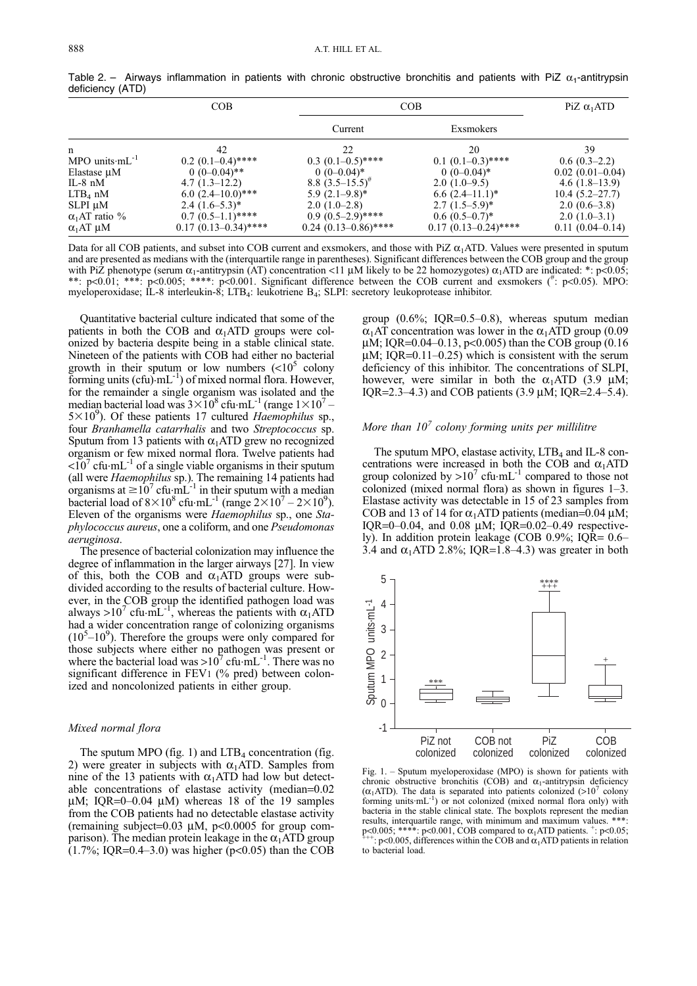|                       | COB                    | COB                    |                        | PiZ $\alpha_1$ ATD  |
|-----------------------|------------------------|------------------------|------------------------|---------------------|
|                       |                        | Current                | Exsmokers              |                     |
| n                     | 42                     | 22                     | 20                     | 39                  |
| MPO units $mL^{-1}$   | $0.2(0.1-0.4)$ ****    | $0.3(0.1-0.5)$ ****    | $0.1 (0.1 - 0.3)$ **** | $0.6(0.3-2.2)$      |
| Elastase $\mu$ M      | $0(0-0.04)$ **         | $0(0-0.04)^*$          | $0(0-0.04)^*$          | $0.02(0.01-0.04)$   |
| IL-8 $nM$             | $4.7(1.3-12.2)$        | 8.8 $(3.5-15.5)^{#}$   | $2.0(1.0-9.5)$         | $4.6(1.8-13.9)$     |
| $LTB4$ nM             | $6.0 (2.4 - 10.0)$ *** | $5.9(2.1-9.8)^*$       | $6.6(2.4–11.1)^*$      | $10.4(5.2 - 27.7)$  |
| $SLPI \mu M$          | $2.4(1.6-5.3)^*$       | $2.0(1.0-2.8)$         | $2.7(1.5-5.9)^*$       | $2.0(0.6-3.8)$      |
| $\alpha_1$ AT ratio % | $0.7(0.5-1.1)$ ****    | $0.9(0.5-2.9)$ ****    | $0.6(0.5-0.7)^*$       | $2.0(1.0-3.1)$      |
| $\alpha_1AT \mu M$    | $0.17(0.13-0.34)$ **** | $0.24$ (0.13-0.86)**** | $0.17(0.13-0.24)$ **** | $0.11(0.04 - 0.14)$ |

Table 2. - Airways inflammation in patients with chronic obstructive bronchitis and patients with PiZ  $\alpha_1$ -antitrypsin deficiency (ATD)

Data for all COB patients, and subset into COB current and exsmokers, and those with PiZ  $\alpha_1$ ATD. Values were presented in sputum and are presented as medians with the (interquartile range in parentheses). Significant differences between the COB group and the group with PiZ phenotype (serum  $\alpha_1$ -antitrypsin (AT) concentration <11  $\mu$ M likely to be 22 homozygotes)  $\alpha_1$ ATD are indicated: \*: p<0.05;<br>\*\*: p<0.01; \*\*\*: p<0.005; \*\*\*\*: p<0.001. Significant difference between the COB cu myeloperoxidase; IL-8 interleukin-8; LTB4: leukotriene B4; SLPI: secretory leukoprotease inhibitor.

Quantitative bacterial culture indicated that some of the patients in both the COB and  $\alpha_1$ ATD groups were colonized by bacteria despite being in a stable clinical state. Nineteen of the patients with COB had either no bacterial growth in their sputum or low numbers  $(<10^5$  colony forming units  $(\text{cft})$ .mL<sup>-1</sup>) of mixed normal flora. However, for the remainder a single organism was isolated and the median bacterial load was  $3\times10^8$  cfu $\cdot$ mL<sup>-1</sup> (range  $1\times10^7$  –  $5 \times 10^9$ ). Of these patients 17 cultured Haemophilus sp., four Branhamella catarrhalis and two Streptococcus sp. Sputum from 13 patients with  $\alpha_1$ ATD grew no recognized organism or few mixed normal flora. Twelve patients had  $\langle 10^7 \text{ cftu} \cdot \text{mL}^{-1} \text{ of a single viable organisms in their sputum}$ (all were *Haemophilus* sp.). The remaining 14 patients had organisms at  $\geq 10^7$  cfu<sub>1</sub>mL<sup>-1</sup> in their sputum with a median bacterial load of  $8 \times 10^8$  cfu $\cdot$ mL<sup>-1</sup> (range  $2 \times 10^7 - 2 \times 10^9$ ). Eleven of the organisms were Haemophilus sp., one Staphylococcus aureus, one a coliform, and one Pseudomonas aeruginosa.

The presence of bacterial colonization may influence the degree of inflammation in the larger airways [27]. In view of this, both the COB and  $\alpha_1$ ATD groups were subdivided according to the results of bacterial culture. However, in the COB group the identified pathogen load was always >10<sup>7</sup> cfu $\cdot$ mL<sup>-1</sup>, whereas the patients with  $\alpha_1$ ATD had a wider concentration range of colonizing organisms  $(10<sup>5</sup> - 10<sup>9</sup>)$ . Therefore the groups were only compared for those subjects where either no pathogen was present or where the bacterial load was  $>10^{7}$  cfu $\cdot$ mL<sup>-1</sup>. There was no significant difference in FEV1 (% pred) between colonized and noncolonized patients in either group.

## Mixed normal flora

The sputum MPO (fig. 1) and  $LTB<sub>4</sub>$  concentration (fig. 2) were greater in subjects with  $\alpha_1$ ATD. Samples from nine of the 13 patients with  $\alpha_1$ ATD had low but detectable concentrations of elastase activity (median=0.02  $\mu$ M; IOR=0-0.04  $\mu$ M) whereas 18 of the 19 samples from the COB patients had no detectable elastase activity (remaining subject=0.03  $\mu$ M, p<0.0005 for group comparison). The median protein leakage in the  $\alpha_1$ ATD group  $(1.7\%; IQR=0.4-3.0)$  was higher (p<0.05) than the COB

group  $(0.6\%; IOR=0.5-0.8)$ , whereas sputum median  $\alpha_1$ AT concentration was lower in the  $\alpha_1$ ATD group (0.09  $\mu$ M; IQR=0.04–0.13, p<0.005) than the COB group (0.16  $\mu$ M; IQR=0.11–0.25) which is consistent with the serum deficiency of this inhibitor. The concentrations of SLPI, however, were similar in both the  $\alpha_1$ ATD (3.9 µM; IQR=2.3-4.3) and COB patients (3.9  $\mu$ M; IQR=2.4-5.4).

## More than  $10^7$  colony forming units per millilitre

The sputum MPO, elastase activity,  $LTB<sub>4</sub>$  and IL-8 concentrations were increased in both the COB and  $\alpha_1$ ATD group colonized by  $>10^7$  cfu $\cdot$ mL<sup>-1</sup> compared to those not colonized (mixed normal flora) as shown in figures  $1-3$ . Elastase activity was detectable in 15 of 23 samples from COB and 13 of 14 for  $\alpha_1$ ATD patients (median=0.04 µM; IQR=0 $-0.04$ , and 0.08 µM; IQR=0.02 $-0.49$  respectively). In addition protein leakage (COB 0.9%; IQR=  $0.6-$ 3.4 and  $\alpha_1$ ATD 2.8%; IQR=1.8-4.3) was greater in both



Fig. 1. - Sputum myeloperoxidase (MPO) is shown for patients with chronic obstructive bronchitis (COB) and  $\alpha_1$ -antitrypsin deficiency  $(\alpha_1$ ATD). The data is separated into patients colonized (>10<sup>7</sup> colony forming units $mL^{-1}$ ) or not colonized (mixed normal flora only) with bacteria in the stable clinical state. The boxplots represent the median results, interquartile range, with minimum and maximum values. \*\*\* p<0.005; \*\*\*\*: p<0.001, COB compared to  $\alpha_1$ ATD patients.  $\pm$ : p<0.05;  $\pm$  ++: p<0.005, differences within the COB and  $\alpha_1$ ATD patients in relation to bacterial load.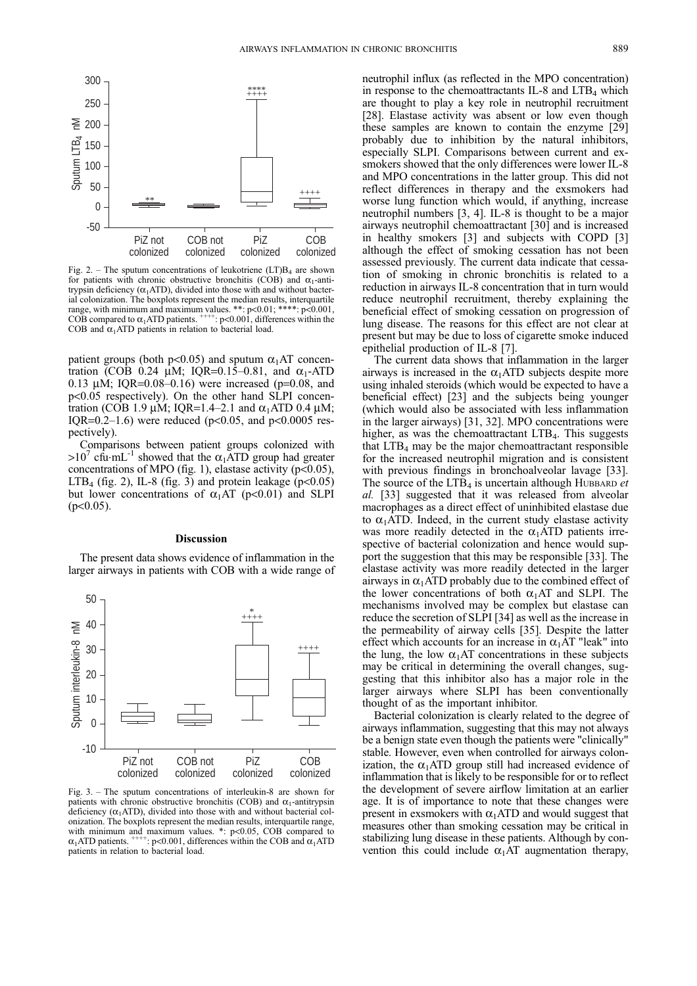

Fig. 2. – The sputum concentrations of leukotriene  $(LT)B<sub>4</sub>$  are shown for patients with chronic obstructive bronchitis (COB) and  $\alpha_1$ -antitrypsin deficiency ( $\alpha_1$ ATD), divided into those with and without bacterial colonization. The boxplots represent the median results, interquartile range, with minimum and maximum values. \*\*:  $p<0.01$ ; \*\*\*\*:  $p<0.001$ , COB compared to  $\alpha_1$ ATD patients.  $\rightarrow$   $\alpha_1$  and  $\alpha_2$  and  $\alpha_3$  and  $\alpha_4$  and  $\alpha_5$  and  $\alpha_7$  and  $\alpha_8$  and  $\alpha_9$  and  $\alpha_9$  and  $\alpha_9$  a COB and  $\alpha_1$ ATD patients in relation to bacterial load.

patient groups (both p<0.05) and sputum  $\alpha_1$ AT concentration (COB 0.24  $\mu$ M; IOR=0.15–0.81, and  $\alpha_1$ -ATD 0.13  $\mu$ M; IQR=0.08–0.16) were increased (p=0.08, and p<0.05 respectively). On the other hand SLPI concentration (COB 1.9  $\mu$ M; IQR=1.4-2.1 and  $\alpha_1$ ATD 0.4  $\mu$ M; IOR=0.2–1.6) were reduced ( $p<0.05$ , and  $p<0.0005$  respectively).

Comparisons between patient groups colonized with  $>10^7$  cfu·mL<sup>-1</sup> showed that the  $\alpha_1$ ATD group had greater concentrations of MPO (fig. 1), elastase activity ( $p<0.05$ ),  $LTB<sub>4</sub>$  (fig. 2), IL-8 (fig. 3) and protein leakage (p<0.05) but lower concentrations of  $\alpha_1$ AT (p<0.01) and SLPI  $(p<0.05)$ .

## Discussion

The present data shows evidence of inflammation in the larger airways in patients with COB with a wide range of



Fig.  $3.$  – The sputum concentrations of interleukin-8 are shown for patients with chronic obstructive bronchitis (COB) and  $\alpha_1$ -antitrypsin deficiency  $(\alpha_1 ATD)$ , divided into those with and without bacterial colonization. The boxplots represent the median results, interquartile range, with minimum and maximum values. \*:  $p<0.05$ , COB compared to  $\alpha$  ATD patients. \*\*\*\*\*\*:  $p<0.001$ . differences within the COB and  $\alpha$  ATD  $p<0.001$ , differences within the COB and  $\alpha_1$ ATD patients in relation to bacterial load.

neutrophil influx (as reflected in the MPO concentration) in response to the chemoattractants IL-8 and  $LTB<sub>4</sub>$  which are thought to play a key role in neutrophil recruitment [28]. Elastase activity was absent or low even though these samples are known to contain the enzyme [29] probably due to inhibition by the natural inhibitors, especially SLPI. Comparisons between current and exsmokers showed that the only differences were lower IL-8 and MPO concentrations in the latter group. This did not reflect differences in therapy and the exsmokers had worse lung function which would, if anything, increase neutrophil numbers [3, 4]. IL-8 is thought to be a major airways neutrophil chemoattractant [30] and is increased in healthy smokers [3] and subjects with COPD [3] although the effect of smoking cessation has not been assessed previously. The current data indicate that cessation of smoking in chronic bronchitis is related to a reduction in airways IL-8 concentration that in turn would reduce neutrophil recruitment, thereby explaining the beneficial effect of smoking cessation on progression of lung disease. The reasons for this effect are not clear at present but may be due to loss of cigarette smoke induced epithelial production of IL-8 [7].

The current data shows that inflammation in the larger airways is increased in the  $\alpha_1$ ATD subjects despite more using inhaled steroids (which would be expected to have a beneficial effect) [23] and the subjects being younger (which would also be associated with less inflammation in the larger airways) [31, 32]. MPO concentrations were higher, as was the chemoattractant  $LTB<sub>4</sub>$ . This suggests that  $LTB<sub>4</sub>$  may be the major chemoattractant responsible for the increased neutrophil migration and is consistent with previous findings in bronchoalveolar lavage [33]. The source of the  $LT\overline{B}_4$  is uncertain although HUBBARD et al. [33] suggested that it was released from alveolar macrophages as a direct effect of uninhibited elastase due to  $\alpha_1$ ATD. Indeed, in the current study elastase activity was more readily detected in the  $\alpha_1$ ATD patients irrespective of bacterial colonization and hence would support the suggestion that this may be responsible [33]. The elastase activity was more readily detected in the larger airways in  $\alpha_1$ ATD probably due to the combined effect of the lower concentrations of both  $\alpha_1 A T$  and SLPI. The mechanisms involved may be complex but elastase can reduce the secretion of SLPI [34] as well as the increase in the permeability of airway cells [35]. Despite the latter effect which accounts for an increase in  $\alpha_1$ AT "leak" into the lung, the low  $\alpha_1$ AT concentrations in these subjects may be critical in determining the overall changes, suggesting that this inhibitor also has a major role in the larger airways where SLPI has been conventionally thought of as the important inhibitor.

Bacterial colonization is clearly related to the degree of airways inflammation, suggesting that this may not always be a benign state even though the patients were "clinically" stable. However, even when controlled for airways colonization, the  $\alpha_1$ ATD group still had increased evidence of inflammation that is likely to be responsible for or to reflect the development of severe airflow limitation at an earlier age. It is of importance to note that these changes were present in exsmokers with  $\alpha_1$ ATD and would suggest that measures other than smoking cessation may be critical in stabilizing lung disease in these patients. Although by convention this could include  $\alpha_1$  AT augmentation therapy,